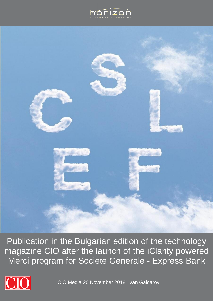



Publication in the Bulgarian edition of the technology magazine CIO after the launch of the iClarity powered Merci program for Societe Generale - Express Bank



CIO Media 20 November 2018, Ivan Gaidarov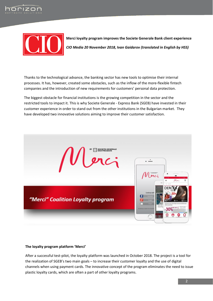



**Merci loyalty program improves the Societe Generale Bank client experience** *CIO Media 20 November 2018, Ivan Gaidarov (translated in English by HSS)*

Thanks to the technological advance, the banking sector has new tools to optimise their internal processes. It has, however, created some obstacles, such as the inflow of the more-flexible fintech companies and the introduction of new requirements for customers' personal data protection.

The biggest obstacle for financial institutions is the growing competition in the sector and the restricted tools to impact it. This is why Societe Generale - Express Bank (SGEB) have invested in their customer experience in order to stand out from the other institutions in the Bulgarian market. They have developed two innovative solutions aiming to improve their customer satisfaction.



## **The loyalty program platform 'Merci'**

After a successful test-pilot, the loyalty platform was launched in October 2018. The project is a tool for the realization of SGEB's two main goals – to increase their customer loyalty and the use of digital channels when using payment cards. The innovative concept of the program eliminates the need to issue plastic loyalty cards, which are often a part of other loyalty programs.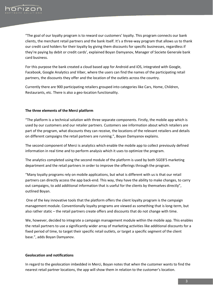

"The goal of our loyalty program is to reward our customers' loyalty. This program connects our bank clients, the merchant retail partners and the bank itself. It's a three-way program that allows us to thank our credit card holders for their loyalty by giving them discounts for specific businesses, regardless if they're paying by debit or credit cards', explained Boyan Damyanov, Manager of Societe Generale bank card business.

For this purpose the bank created a cloud based app for Android and iOS, integrated with Google, Facebook, Google Analytics and Viber, where the users can find the names of the participating retail partners, the discounts they offer and the location of the outlets across the country.

Currently there are 900 participating retailers grouped into categories like Cars, Home, Children, Restaurants, etc. There is also a geo-location functionality.

## **The three elements of the Merci platform**

"The platform is a technical solution with three separate components. Firstly, the mobile app which is used by our customers and our retailer partners. Customers see information about which retailers are part of the program, what discounts they can receive, the locations of the relevant retailers and details on different campaigns the retail partners are running.", Boyan Damyanov explains.

The second component of Merci is analytics which enable the mobile app to collect previously defined information in real time and to perform analysis which it uses to optimize the program.

The analytics completed using the second module of the platform is used by both SGEB'S marketing department and the retail partners in order to improve the offerings through the program.

"Many loyalty programs rely on mobile applications, but what is different with us is that our retail partners can directly access the app back-end. This way, they have the ability to make changes, to carry out campaigns, to add additional information that is useful for the clients by themselves directly", outlined Boyan.

One of the key innovative tools that the platform offers the client loyalty program is the campaign management module. Conventionally loyalty programs are viewed as something that is long-term, but also rather static – the retail partners create offers and discounts that do not change with time.

We, however, decided to integrate a campaign management module within the mobile app. This enables the retail partners to use a significantly wider array of marketing activities like additional discounts for a fixed period of time, to target their specific retail outlets, or target a specific segment of the client base.", adds Boyan Damyanov.

## **Geolocation and notifications**

In regard to the geolocation imbedded in Merci, Boyan notes that when the customer wants to find the nearest retail partner locations, the app will show them in relation to the customer's location.